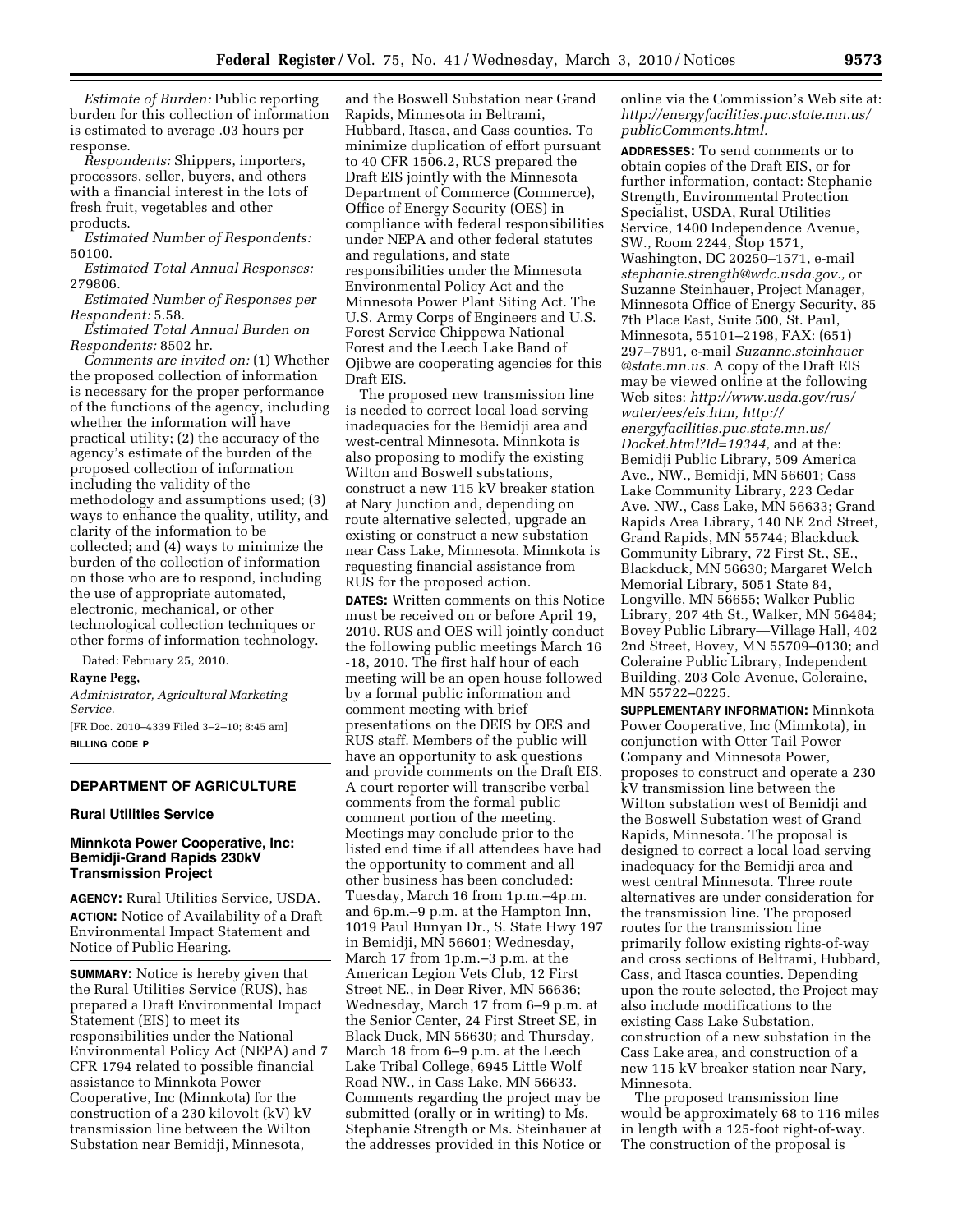*Estimate of Burden:* Public reporting burden for this collection of information is estimated to average .03 hours per response.

*Respondents:* Shippers, importers, processors, seller, buyers, and others with a financial interest in the lots of fresh fruit, vegetables and other products.

*Estimated Number of Respondents:*  50100.

*Estimated Total Annual Responses:*  279806*.* 

*Estimated Number of Responses per Respondent:* 5.58.

*Estimated Total Annual Burden on Respondents:* 8502 hr.

*Comments are invited on:* (1) Whether the proposed collection of information is necessary for the proper performance of the functions of the agency, including whether the information will have practical utility; (2) the accuracy of the agency's estimate of the burden of the proposed collection of information including the validity of the methodology and assumptions used; (3) ways to enhance the quality, utility, and clarity of the information to be collected; and (4) ways to minimize the burden of the collection of information on those who are to respond, including the use of appropriate automated, electronic, mechanical, or other technological collection techniques or other forms of information technology.

Dated: February 25, 2010.

### **Rayne Pegg,**

*Administrator, Agricultural Marketing Service.* 

[FR Doc. 2010–4339 Filed 3–2–10; 8:45 am] **BILLING CODE P** 

## **DEPARTMENT OF AGRICULTURE**

#### **Rural Utilities Service**

### **Minnkota Power Cooperative, Inc: Bemidji-Grand Rapids 230kV Transmission Project**

**AGENCY:** Rural Utilities Service, USDA. **ACTION:** Notice of Availability of a Draft Environmental Impact Statement and Notice of Public Hearing.

**SUMMARY:** Notice is hereby given that the Rural Utilities Service (RUS), has prepared a Draft Environmental Impact Statement (EIS) to meet its responsibilities under the National Environmental Policy Act (NEPA) and 7 CFR 1794 related to possible financial assistance to Minnkota Power Cooperative, Inc (Minnkota) for the construction of a 230 kilovolt (kV) kV transmission line between the Wilton Substation near Bemidji, Minnesota,

and the Boswell Substation near Grand Rapids, Minnesota in Beltrami, Hubbard, Itasca, and Cass counties. To minimize duplication of effort pursuant to 40 CFR 1506.2, RUS prepared the Draft EIS jointly with the Minnesota Department of Commerce (Commerce), Office of Energy Security (OES) in compliance with federal responsibilities under NEPA and other federal statutes and regulations, and state responsibilities under the Minnesota Environmental Policy Act and the Minnesota Power Plant Siting Act. The U.S. Army Corps of Engineers and U.S. Forest Service Chippewa National Forest and the Leech Lake Band of Ojibwe are cooperating agencies for this Draft EIS.

The proposed new transmission line is needed to correct local load serving inadequacies for the Bemidji area and west-central Minnesota. Minnkota is also proposing to modify the existing Wilton and Boswell substations, construct a new 115 kV breaker station at Nary Junction and, depending on route alternative selected, upgrade an existing or construct a new substation near Cass Lake, Minnesota. Minnkota is requesting financial assistance from RUS for the proposed action.

**DATES:** Written comments on this Notice must be received on or before April 19, 2010. RUS and OES will jointly conduct the following public meetings March 16 -18, 2010. The first half hour of each meeting will be an open house followed by a formal public information and comment meeting with brief presentations on the DEIS by OES and RUS staff. Members of the public will have an opportunity to ask questions and provide comments on the Draft EIS. A court reporter will transcribe verbal comments from the formal public comment portion of the meeting. Meetings may conclude prior to the listed end time if all attendees have had the opportunity to comment and all other business has been concluded: Tuesday, March 16 from 1p.m.–4p.m. and 6p.m.–9 p.m. at the Hampton Inn, 1019 Paul Bunyan Dr., S. State Hwy 197 in Bemidji, MN 56601; Wednesday, March 17 from 1p.m.–3 p.m. at the American Legion Vets Club, 12 First Street NE., in Deer River, MN 56636; Wednesday, March 17 from 6–9 p.m. at the Senior Center, 24 First Street SE, in Black Duck, MN 56630; and Thursday, March 18 from 6–9 p.m. at the Leech Lake Tribal College, 6945 Little Wolf Road NW., in Cass Lake, MN 56633. Comments regarding the project may be submitted (orally or in writing) to Ms. Stephanie Strength or Ms. Steinhauer at the addresses provided in this Notice or

online via the Commission's Web site at: *http://energyfacilities.puc.state.mn.us/ publicComments.html.* 

**ADDRESSES:** To send comments or to obtain copies of the Draft EIS, or for further information, contact: Stephanie Strength, Environmental Protection Specialist, USDA, Rural Utilities Service, 1400 Independence Avenue, SW., Room 2244, Stop 1571, Washington, DC 20250–1571, e-mail *stephanie.strength@wdc.usda.gov.,* or Suzanne Steinhauer, Project Manager, Minnesota Office of Energy Security, 85 7th Place East, Suite 500, St. Paul, Minnesota, 55101–2198, FAX: (651) 297–7891, e-mail *Suzanne.steinhauer @state.mn.us.* A copy of the Draft EIS may be viewed online at the following Web sites: *http://www.usda.gov/rus/ water/ees/eis.htm, http:// energyfacilities.puc.state.mn.us/ Docket.html?Id=19344,* and at the: Bemidji Public Library, 509 America Ave., NW., Bemidji, MN 56601; Cass Lake Community Library, 223 Cedar Ave. NW., Cass Lake, MN 56633; Grand Rapids Area Library, 140 NE 2nd Street, Grand Rapids, MN 55744; Blackduck Community Library, 72 First St., SE., Blackduck, MN 56630; Margaret Welch Memorial Library, 5051 State 84, Longville, MN 56655; Walker Public Library, 207 4th St., Walker, MN 56484; Bovey Public Library—Village Hall, 402 2nd Street, Bovey, MN 55709–0130; and Coleraine Public Library, Independent Building, 203 Cole Avenue, Coleraine, MN 55722–0225.

**SUPPLEMENTARY INFORMATION:** Minnkota Power Cooperative, Inc (Minnkota), in conjunction with Otter Tail Power Company and Minnesota Power, proposes to construct and operate a 230 kV transmission line between the Wilton substation west of Bemidji and the Boswell Substation west of Grand Rapids, Minnesota. The proposal is designed to correct a local load serving inadequacy for the Bemidji area and west central Minnesota. Three route alternatives are under consideration for the transmission line. The proposed routes for the transmission line primarily follow existing rights-of-way and cross sections of Beltrami, Hubbard, Cass, and Itasca counties. Depending upon the route selected, the Project may also include modifications to the existing Cass Lake Substation, construction of a new substation in the Cass Lake area, and construction of a new 115 kV breaker station near Nary, Minnesota.

The proposed transmission line would be approximately 68 to 116 miles in length with a 125-foot right-of-way. The construction of the proposal is